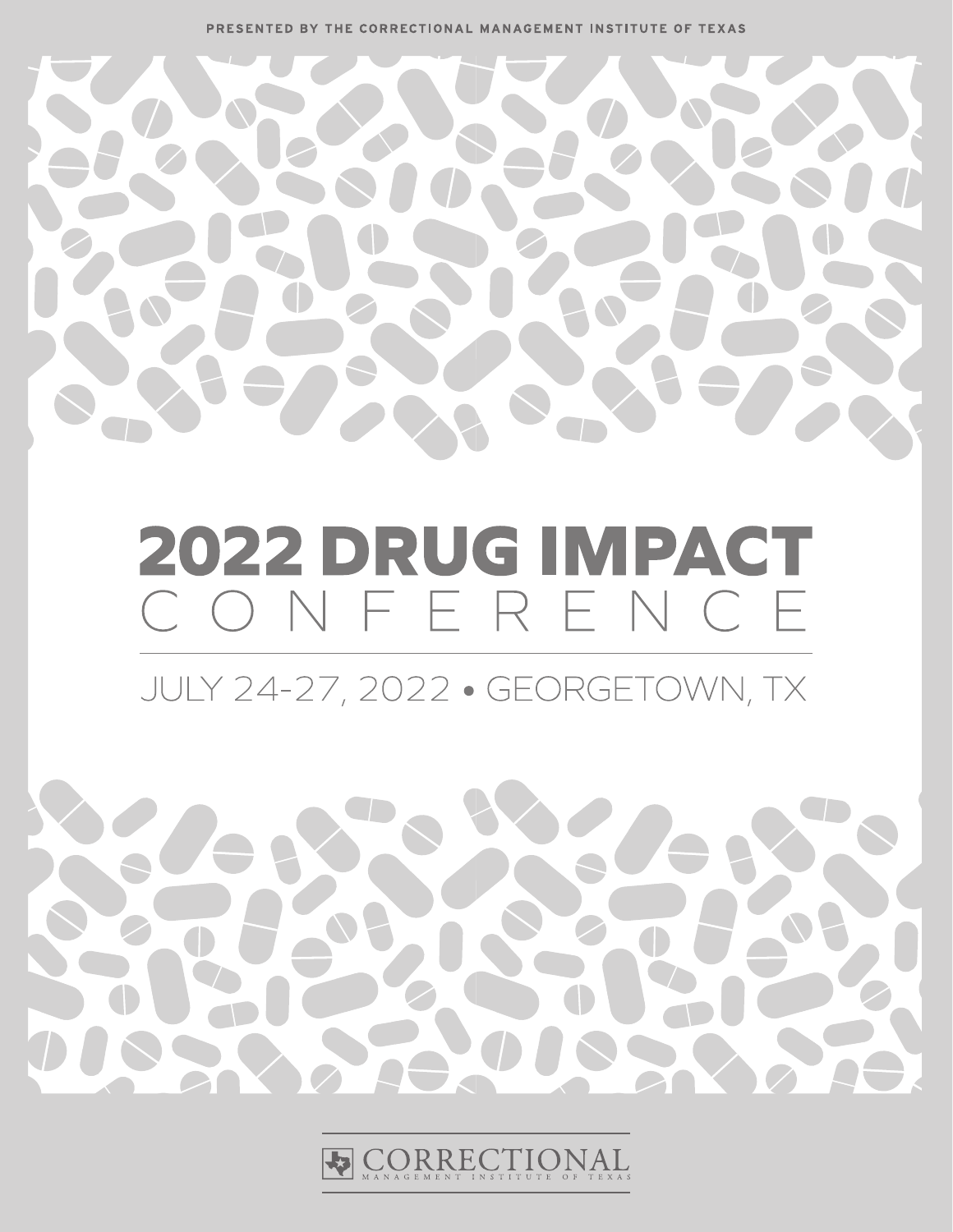PRESENTED BY THE CORRECTIONAL MANAGEMENT INSTITUTE OF TEXAS



# 2022 DRUG IMPACT CONFERENCE

JULY 24-27, 2022 . GEORGETOWN, TX